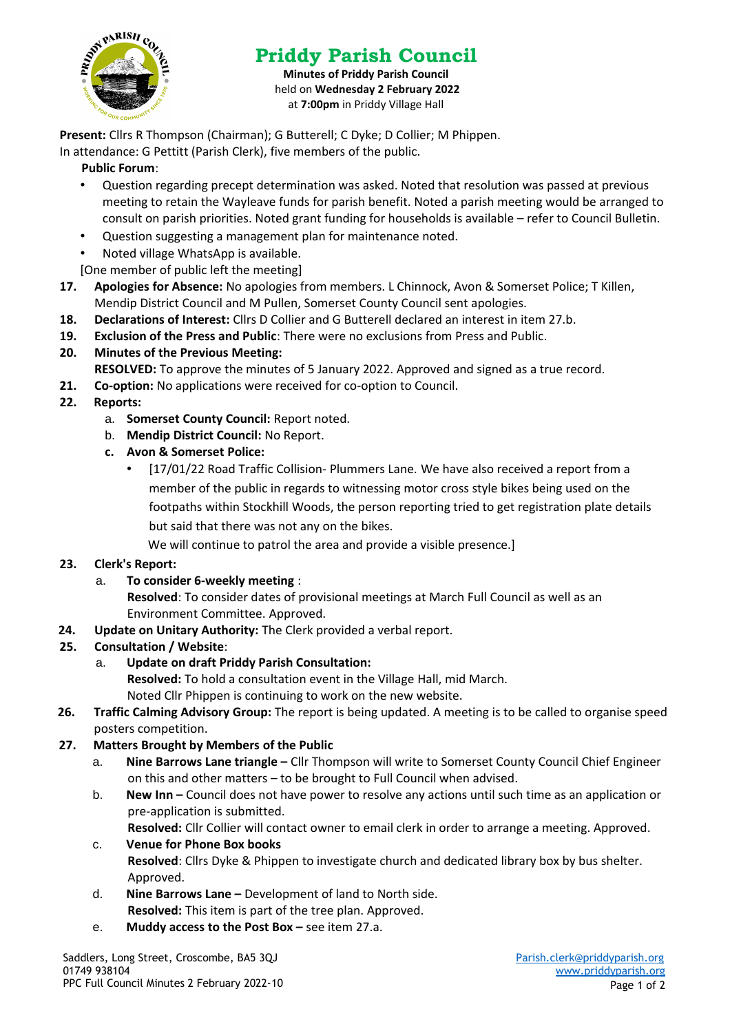

# **Priddy Parish Council**

**Minutes of Priddy Parish Council** held on **Wednesday 2 February 2022** at **7:00pm** in Priddy Village Hall

**Present:** Cllrs R Thompson (Chairman); G Butterell; C Dyke; D Collier; M Phippen.

In attendance: G Pettitt (Parish Clerk), five members of the public.

# **Public Forum**:

- Question regarding precept determination was asked. Noted that resolution was passed at previous meeting to retain the Wayleave funds for parish benefit. Noted a parish meeting would be arranged to consult on parish priorities. Noted grant funding for households is available – refer to Council Bulletin.
- Question suggesting a management plan for maintenance noted.
- Noted village WhatsApp is available.

[One member of public left the meeting]

- **17. Apologies for Absence:** No apologies from members. L Chinnock, Avon & Somerset Police; T Killen, Mendip District Council and M Pullen, Somerset County Council sent apologies.
- **18. Declarations of Interest:** Cllrs D Collier and G Butterell declared an interest in item 27.b.
- **19. Exclusion of the Press and Public**: There were no exclusions from Press and Public.

## **20. Minutes of the Previous Meeting:**

- **RESOLVED:** To approve the minutes of 5 January 2022. Approved and signed as a true record.
- **21. Co-option:** No applications were received for co-option to Council.

## **22. Reports:**

- a. **Somerset County Council:** Report noted.
- b. **Mendip District Council:** No Report.
- **c. Avon & Somerset Police:**
	- [17/01/22 Road Traffic Collision- Plummers Lane. We have also received a report from a member of the public in regards to witnessing motor cross style bikes being used on the footpaths within Stockhill Woods, the person reporting tried to get registration plate details but said that there was not any on the bikes.

We will continue to patrol the area and provide a visible presence.]

#### **23. Clerk's Report:**

#### a. **To consider 6-weekly meeting** :

**Resolved**: To consider dates of provisional meetings at March Full Council as well as an Environment Committee. Approved.

**24. Update on Unitary Authority:** The Clerk provided a verbal report.

# **25. Consultation / Website**:

# a. **Update on draft Priddy Parish Consultation:**

**Resolved:** To hold a consultation event in the Village Hall, mid March. Noted Cllr Phippen is continuing to work on the new website.

- **26. Traffic Calming Advisory Group:** The report is being updated. A meeting is to be called to organise speed posters competition.
- **27. Matters Brought by Members of the Public**
	- a. **Nine Barrows Lane triangle –** Cllr Thompson will write to Somerset County Council Chief Engineer on this and other matters – to be brought to Full Council when advised.
	- b. **New Inn –** Council does not have power to resolve any actions until such time as an application or pre-application is submitted.
		- **Resolved:** Cllr Collier will contact owner to email clerk in order to arrange a meeting. Approved.
	- c. **Venue for Phone Box books Resolved**: Cllrs Dyke & Phippen to investigate church and dedicated library box by bus shelter. Approved.
	- d. **Nine Barrows Lane –** Development of land to North side. **Resolved:** This item is part of the tree plan. Approved.
	- e. **Muddy access to the Post Box –** see item 27.a.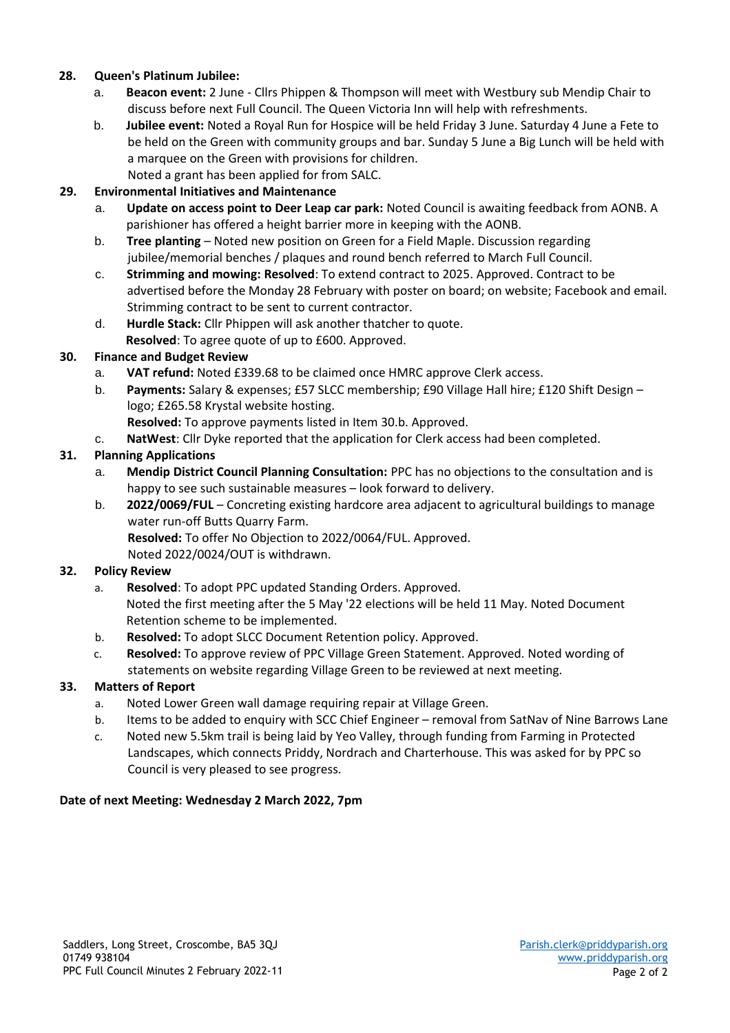## **28. Queen's Platinum Jubilee:**

- a. **Beacon event:** 2 June Cllrs Phippen & Thompson will meet with Westbury sub Mendip Chair to discuss before next Full Council. The Queen Victoria Inn will help with refreshments.
- b. **Jubilee event:** Noted a Royal Run for Hospice will be held Friday 3 June. Saturday 4 June a Fete to be held on the Green with community groups and bar. Sunday 5 June a Big Lunch will be held with a marquee on the Green with provisions for children. Noted a grant has been applied for from SALC.

## **29. Environmental Initiatives and Maintenance**

- a. **Update on access point to Deer Leap car park:** Noted Council is awaiting feedback from AONB. A parishioner has offered a height barrier more in keeping with the AONB.
- b. **Tree planting**  Noted new position on Green for a Field Maple. Discussion regarding jubilee/memorial benches / plaques and round bench referred to March Full Council.
- c. **Strimming and mowing: Resolved**: To extend contract to 2025. Approved. Contract to be advertised before the Monday 28 February with poster on board; on website; Facebook and email. Strimming contract to be sent to current contractor.
- d. **Hurdle Stack:** Cllr Phippen will ask another thatcher to quote. **Resolved**: To agree quote of up to £600. Approved.

## **30. Finance and Budget Review**

- a. **VAT refund:** Noted £339.68 to be claimed once HMRC approve Clerk access.
- b. **Payments:** Salary & expenses; £57 SLCC membership; £90 Village Hall hire; £120 Shift Design logo; £265.58 Krystal website hosting.
	- **Resolved:** To approve payments listed in Item 30.b. Approved.
- c. **NatWest**: Cllr Dyke reported that the application for Clerk access had been completed.

## **31. Planning Applications**

- a. **Mendip District Council Planning Consultation:** PPC has no objections to the consultation and is happy to see such sustainable measures – look forward to delivery.
- b. **2022/0069/FUL** Concreting existing hardcore area adjacent to agricultural buildings to manage water run-off Butts Quarry Farm.
	- **Resolved:** To offer No Objection to 2022/0064/FUL. Approved. Noted 2022/0024/OUT is withdrawn.

# **32. Policy Review**

- a. **Resolved**: To adopt PPC updated Standing Orders. Approved. Noted the first meeting after the 5 May '22 elections will be held 11 May. Noted Document Retention scheme to be implemented.
- b. **Resolved:** To adopt SLCC Document Retention policy. Approved.
- c. **Resolved:** To approve review of PPC Village Green Statement. Approved. Noted wording of statements on website regarding Village Green to be reviewed at next meeting.

#### **33. Matters of Report**

- a. Noted Lower Green wall damage requiring repair at Village Green.
- b. Items to be added to enquiry with SCC Chief Engineer removal from SatNav of Nine Barrows Lane
- c. Noted new 5.5km trail is being laid by Yeo Valley, through funding from Farming in Protected Landscapes, which connects Priddy, Nordrach and Charterhouse. This was asked for by PPC so Council is very pleased to see progress.

#### **Date of next Meeting: Wednesday 2 March 2022, 7pm**